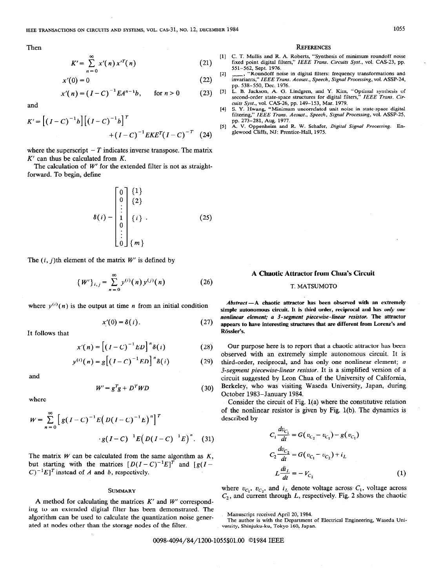Then

$$
K' = \sum_{n=0}^{\infty} x'(n) x'^T(n)
$$
 (21)

$$
n = 0
$$
  
 
$$
x'(0) = 0
$$
 [2]

$$
x'(n) = (I - C)^{-1} E A^{n-1} b, \quad \text{for } n > 0 \qquad (23)
$$
 [3]

and

$$
K' = [(I - C)^{-1}b] [(I - C)^{-1}b]^T + (I - C)^{-1} EKE^{T} (I - C)^{-T}
$$
 (24)

where the superscript  $-T$  indicates inverse transpose. The matrix  $K'$  can thus be calculated from  $K$ .

The calculation of  $W'$  for the extended filter is not as straightforward. To begin, define

$$
\delta(i) = \begin{bmatrix} 0 & 1 \\ 0 & \{2\} \\ \vdots & \vdots \\ 1 & \{i\} \\ 0 & \vdots \\ 0 & \{m\} \end{bmatrix} \tag{25}
$$

The  $(i, j)$ th element of the matrix  $W'$  is defined by

$$
\{W'\}_{i,j} = \sum_{n=0}^{\infty} y^{(i)}(n) y^{(j)}(n)
$$
 (26)

where  $y^{(i)}(n)$  is the output at time *n* from an initial condition

$$
x'(0) = \delta(i). \tag{27}
$$

It follows that

$$
x'(n) = \left[ \left( I - C \right)^{-1} ED \right]^n \delta(i) \tag{28}
$$

$$
y^{(i)}(n) = g\left[\left(I - C\right)^{-1}ED\right]^n \delta(i) \tag{29}
$$

and

$$
W' = g^T g + D^T W D \tag{30}
$$

where

$$
W = \sum_{n=0}^{\infty} \left[ g(I - C)^{-1} E(D(I - C)^{-1} E)^{n} \right]^{T}
$$

$$
\cdot g(I - C)^{-1} E(D(I - C)^{-1} E)^{n}. \quad (31)
$$

The matrix  $W$  can be calculated from the same algorithm as  $K$ , but starting with the matrices  $[D(I-C)^{-1}E]^T$  and  $[g(I-C)^{-1}]^T$  $(C)^{-1}E$ <sup>T</sup> instead of A and b, respectively.

# **SUMMARY**

A method for calculating the matrices  $K'$  and  $W'$  corresponding to an extended digital filter has been demonstrated. The algorithm can be used to calculate the quantization noise generated at nodes other than the storage nodes of the filter.

#### **REFERENCES**

- Ill C. T. Mullis and R. A. Roberts, "Synthesis of minimum roundoff noise fixed point digital filters," IEEE Trans. Circuits Syst., vol. CAS-23, pp.
- 551-562, Sept. 1976. "Roundoff noise in digital filters: frequency transformations and invariants," IEEE Trans. Acoust., Speech, Signal Processing, vol. ASSP-24, pp. 538-550, Dec. 1976.
- L. B. Jackson, A. G. Lindgren, and Y. Kim, "Optimal synthesis of second-order state-space structures for digital filters," IEEE Trans. Circuits Syst., vol. CAS-26, pp. 149-153, Mar. 1979.
- 141 S. Y. Hwang, "Minimum uncorrelated unit noise in state-space digita<br>filtering," *IEEE Trans. Acoust., Speech, Signal Processing*, vol. ASSP-25<br>pp. 273–281, Aug. 1977.
- $[5]$ A. V. Oppenbeim and R. W. Schafer, Digital Signal Processing. Englewood Cliffs, NJ: Prentice-Hall, 1975.

# A Chaotic Attractor from Chua's Circuit

## T. MATSUMOTO

 $Abstract - A$  chaotic attractor has been observed with an extremely simple autonomous circuit. It is third order, reciprocal and has only one nonlinear element; a 3-segment piecewise-linear resistor. The attractor appears to have interesting structures that are different from Lorenz's and Rössler's.

Our purpose here is to report that a chaotic attractor has been observed with an extremely simple autonomous circuit. It is third-order, reciprocal, and has only one nonlinear element; a J-segment piecewise-linear resistor. It is a simplified version of a circuit suggested by Leon Chua of the University of California, Berkeley, who was visiting Waseda University, Japan, during October 1983-January 1984.

Consider the circuit of Fig. l(a) where the constitutive relation of the nonlinear resistor is given by Fig. l(b). The dynamics is described by

$$
C_1 \frac{dv_{C_1}}{dt} = G(v_{C_2} - v_{C_1}) - g(v_{C_1})
$$
  
\n
$$
C_2 \frac{dv_{C_2}}{dt} = G(v_{C_1} - v_{C_2}) + i_L
$$
  
\n
$$
L \frac{di_L}{dt} = -V_{C_2}
$$
 (1)

where  $v_{C_1}$ ,  $v_{C_2}$ , and  $i_L$  denote voltage across.  $C_1$ , voltage across  $C_2$ , and current through L, respectively. Fig. 2 shows the chaotic

0098-4094/84/1200-1055\$01.00 01984 IEEE

Manuscript received April 20,1984.

The author is with the Department of Electrical Engineering, Waseda University, Shinjuku-ku, Tokyo 160, Japan.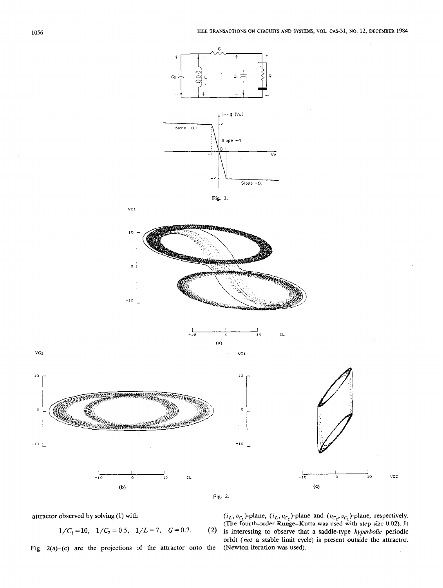





IL.







 $VC1$ 

Fig. 2(a)-(c) are the projections of the attractor onto the (Newton iteration was used).

attractor observed by solving (1) with  $(i_L, v_C)$ -plane,  $(i_L, v_C)$ -plane and  $(v_C, v_C)$ -plane, respectively. (The fourth-order Runge–Kutta was used with step size 0.02). It  $1/C_1 = 10$ ,  $1/C_2 = 0.5$ ,  $1/L = 7$ ,  $G = 0.7$ . (2) is interesting to observe that a saddle-type *hyperbolic* periodic orbit (not a stable limit cycle) is present outside the attractor.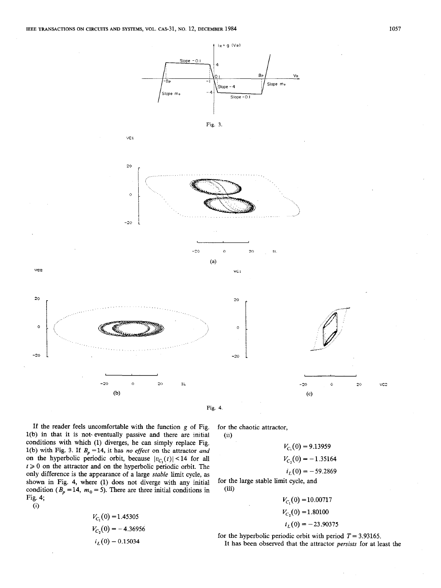$VC1$ 







VC<sub>1</sub>

 $20$ 

 $\circ$ 

 $-20$ 





Fig. 4.

 $(ii)$ 

If the reader feels uncomfortable with the function g of Fig. l(b) in that it is not- eventually passive and there are initial conditions with which (1) diverges, he can simply replace Fig. 1(b) with Fig. 3. If  $B_p = 14$ , it has no effect on the attractor and on the hyperbolic periodic orbit, because  $|v_{C_1}(t)| < 14$  for all  $t \geq 0$  on the attractor and on the hyperbolic periodic orbit. The only difference is the appearance of a large stable limit cycle, as shown in Fig. 4, where (1) does not diverge with any initial condition ( $B_p = 14$ ,  $m_0 = 5$ ). There are three initial conditions in Fig. 4;

$$
\rm(i)
$$

$$
V_{C_1}(0) = 1.45305
$$
  
\n
$$
V_{C_2}(0) = -4.36956
$$
  
\n
$$
i_L(0) = 0.15034
$$

for the chaotic attractor,

 $V_{C_1}(0) = 9.13959$  $V_{C_2}(0) = -1.35164$ 

 $i_L(0) = -59.2869$ 

for the large stable limit cycle, and (iii)

> $V_{C_1}(0) = 10.00717$  $V_{C_2}(0) = 1.80100$  $i_L(0) = -23.90375$

for the hyperbolic periodic orbit with period  $T = 3.93165$ . It has been observed that the attractor persists for at least the